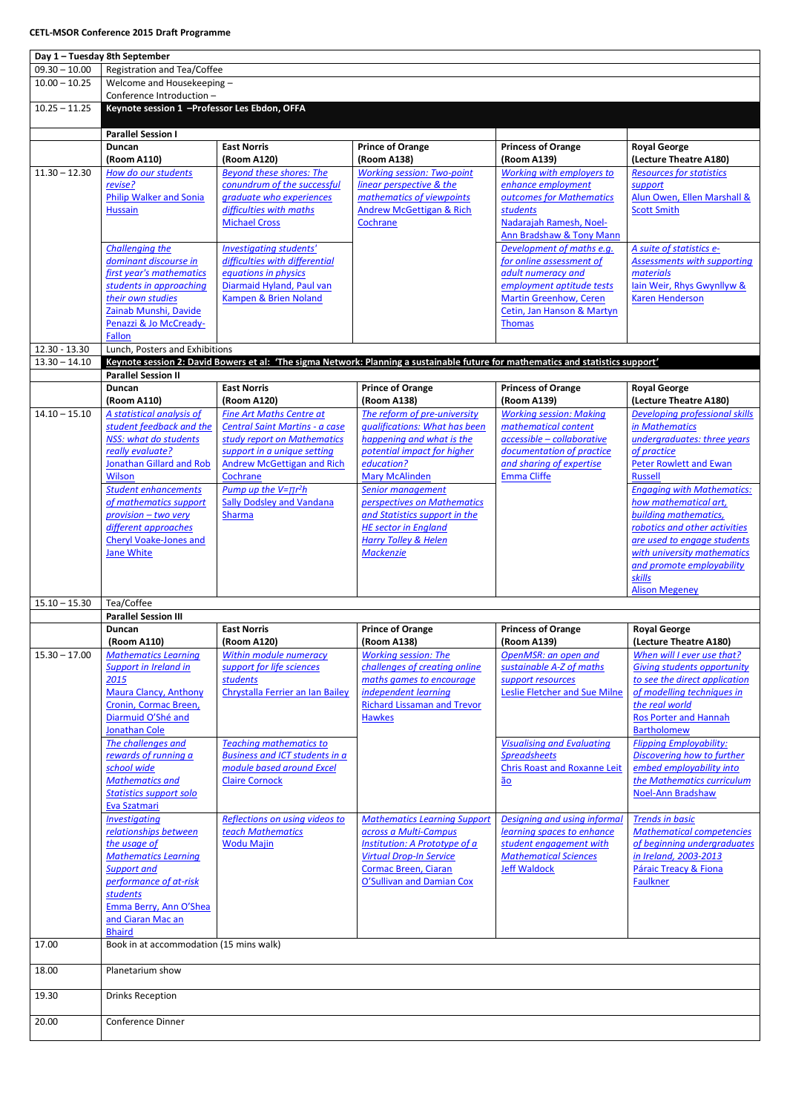| Day 1 - Tuesday 8th September |                                                    |                                              |                                                                                                                                  |                                                     |                                                                     |  |  |  |
|-------------------------------|----------------------------------------------------|----------------------------------------------|----------------------------------------------------------------------------------------------------------------------------------|-----------------------------------------------------|---------------------------------------------------------------------|--|--|--|
| $09.30 - 10.00$               | Registration and Tea/Coffee                        |                                              |                                                                                                                                  |                                                     |                                                                     |  |  |  |
| $10.00 - 10.25$               | Welcome and Housekeeping -                         |                                              |                                                                                                                                  |                                                     |                                                                     |  |  |  |
|                               | Conference Introduction -                          |                                              |                                                                                                                                  |                                                     |                                                                     |  |  |  |
| $10.25 - 11.25$               | Keynote session 1 - Professor Les Ebdon, OFFA      |                                              |                                                                                                                                  |                                                     |                                                                     |  |  |  |
|                               |                                                    |                                              |                                                                                                                                  |                                                     |                                                                     |  |  |  |
|                               | <b>Parallel Session I</b>                          |                                              |                                                                                                                                  |                                                     |                                                                     |  |  |  |
|                               | <b>Duncan</b>                                      | <b>East Norris</b>                           | <b>Prince of Orange</b>                                                                                                          | <b>Princess of Orange</b>                           | <b>Royal George</b>                                                 |  |  |  |
|                               | (Room A110)                                        | (Room A120)                                  | (Room A138)                                                                                                                      | (Room A139)                                         | (Lecture Theatre A180)                                              |  |  |  |
| $11.30 - 12.30$               | How do our students                                | <b>Beyond these shores: The</b>              | <b>Working session: Two-point</b>                                                                                                | Working with employers to                           | <b>Resources for statistics</b>                                     |  |  |  |
|                               | revise?                                            | conundrum of the successful                  | linear perspective & the                                                                                                         | enhance employment                                  | support                                                             |  |  |  |
|                               | <b>Philip Walker and Sonia</b>                     | graduate who experiences                     | mathematics of viewpoints                                                                                                        | outcomes for Mathematics                            | Alun Owen, Ellen Marshall &                                         |  |  |  |
|                               | <b>Hussain</b>                                     | difficulties with maths                      | <b>Andrew McGettigan &amp; Rich</b>                                                                                              | students                                            | <b>Scott Smith</b>                                                  |  |  |  |
|                               |                                                    | <b>Michael Cross</b>                         | Cochrane                                                                                                                         | Nadarajah Ramesh, Noel-<br>Ann Bradshaw & Tony Mann |                                                                     |  |  |  |
|                               | Challenging the                                    | Investigating students'                      |                                                                                                                                  | Development of maths e.g.                           | A suite of statistics e-                                            |  |  |  |
|                               | dominant discourse in                              | difficulties with differential               |                                                                                                                                  | for online assessment of                            | <b>Assessments with supporting</b>                                  |  |  |  |
|                               | first year's mathematics                           | equations in physics                         |                                                                                                                                  | adult numeracy and                                  | materials                                                           |  |  |  |
|                               | students in approaching                            | Diarmaid Hyland, Paul van                    |                                                                                                                                  | employment aptitude tests                           | lain Weir, Rhys Gwynllyw &                                          |  |  |  |
|                               | their own studies                                  | Kampen & Brien Noland                        |                                                                                                                                  | <b>Martin Greenhow, Ceren</b>                       | <b>Karen Henderson</b>                                              |  |  |  |
|                               | Zainab Munshi, Davide                              |                                              |                                                                                                                                  | Cetin, Jan Hanson & Martyn                          |                                                                     |  |  |  |
|                               | Penazzi & Jo McCready-                             |                                              |                                                                                                                                  | <b>Thomas</b>                                       |                                                                     |  |  |  |
|                               | Fallon                                             |                                              |                                                                                                                                  |                                                     |                                                                     |  |  |  |
| $12.30 - 13.30$               | Lunch, Posters and Exhibitions                     |                                              |                                                                                                                                  |                                                     |                                                                     |  |  |  |
| $13.30 - 14.10$               |                                                    |                                              | Keynote session 2: David Bowers et al: 'The sigma Network: Planning a sustainable future for mathematics and statistics support' |                                                     |                                                                     |  |  |  |
|                               | <b>Parallel Session II</b>                         |                                              |                                                                                                                                  |                                                     |                                                                     |  |  |  |
|                               | <b>Duncan</b><br>(Room A110)                       | <b>East Norris</b><br>(Room A120)            | <b>Prince of Orange</b><br>(Room A138)                                                                                           | <b>Princess of Orange</b><br>(Room A139)            | <b>Royal George</b><br>(Lecture Theatre A180)                       |  |  |  |
| $14.10 - 15.10$               | A statistical analysis of                          | <b>Fine Art Maths Centre at</b>              | The reform of pre-university                                                                                                     | <b>Working session: Making</b>                      | <b>Developing professional skills</b>                               |  |  |  |
|                               | student feedback and the                           | <b>Central Saint Martins - a case</b>        | qualifications: What has been                                                                                                    | mathematical content                                | in Mathematics                                                      |  |  |  |
|                               | NSS: what do students                              | study report on Mathematics                  | happening and what is the                                                                                                        | $accessible$ - collaborative                        | undergraduates: three years                                         |  |  |  |
|                               | really evaluate?                                   | support in a unique setting                  | potential impact for higher                                                                                                      | documentation of practice                           | of practice                                                         |  |  |  |
|                               | Jonathan Gillard and Rob                           | Andrew McGettigan and Rich                   | education?                                                                                                                       | and sharing of expertise                            | Peter Rowlett and Ewan                                              |  |  |  |
|                               | <b>Wilson</b>                                      | Cochrane                                     | <b>Mary McAlinden</b>                                                                                                            | <b>Emma Cliffe</b>                                  | <b>Russell</b>                                                      |  |  |  |
|                               | <b>Student enhancements</b>                        | Pump up the $V = \pi r^2 h$                  | Senior management                                                                                                                |                                                     | <b>Engaging with Mathematics:</b>                                   |  |  |  |
|                               | of mathematics support                             | <b>Sally Dodsley and Vandana</b>             | perspectives on Mathematics                                                                                                      |                                                     | how mathematical art,                                               |  |  |  |
|                               | provision - two very                               | <b>Sharma</b>                                | and Statistics support in the                                                                                                    |                                                     | building mathematics,                                               |  |  |  |
|                               | different approaches                               |                                              | <b>HE sector in England</b>                                                                                                      |                                                     | robotics and other activities<br>are used to engage students        |  |  |  |
|                               | <b>Cheryl Voake-Jones and</b><br><b>Jane White</b> |                                              | <b>Harry Tolley &amp; Helen</b><br><b>Mackenzie</b>                                                                              |                                                     | with university mathematics                                         |  |  |  |
|                               |                                                    |                                              |                                                                                                                                  |                                                     | and promote employability                                           |  |  |  |
|                               |                                                    |                                              |                                                                                                                                  |                                                     | skills                                                              |  |  |  |
|                               |                                                    |                                              |                                                                                                                                  |                                                     | <b>Alison Megeney</b>                                               |  |  |  |
| $15.10 - 15.30$               | Tea/Coffee                                         |                                              |                                                                                                                                  |                                                     |                                                                     |  |  |  |
|                               | <b>Parallel Session III</b>                        |                                              |                                                                                                                                  |                                                     |                                                                     |  |  |  |
|                               | Duncan                                             | <b>East Norris</b>                           | <b>Prince of Orange</b>                                                                                                          | <b>Princess of Orange</b>                           | <b>Royal George</b>                                                 |  |  |  |
|                               | (Room A110)                                        | (Room A120)                                  | (Room A138)                                                                                                                      | (Room A139)                                         | (Lecture Theatre A180)                                              |  |  |  |
| $15.30 - 17.00$               | <b>Mathematics Learning</b>                        | Within module numeracy                       | <b>Working session: The</b>                                                                                                      | OpenMSR: an open and                                | When will I ever use that?                                          |  |  |  |
|                               | Support in Ireland in<br>2015                      | support for life sciences<br><b>students</b> | challenges of creating online<br>maths games to encourage                                                                        | sustainable A-Z of maths                            | <b>Giving students opportunity</b><br>to see the direct application |  |  |  |
|                               | <b>Maura Clancy, Anthony</b>                       | Chrystalla Ferrier an Ian Bailey             | independent learning                                                                                                             | support resources<br>Leslie Fletcher and Sue Milne  | of modelling techniques in                                          |  |  |  |
|                               | Cronin, Cormac Breen,                              |                                              | <b>Richard Lissaman and Trevor</b>                                                                                               |                                                     | the real world                                                      |  |  |  |
|                               | Diarmuid O'Shé and                                 |                                              | <b>Hawkes</b>                                                                                                                    |                                                     | <b>Ros Porter and Hannah</b>                                        |  |  |  |
|                               | <b>Jonathan Cole</b>                               |                                              |                                                                                                                                  |                                                     | <b>Bartholomew</b>                                                  |  |  |  |
|                               | The challenges and                                 | <b>Teaching mathematics to</b>               |                                                                                                                                  | <b>Visualising and Evaluating</b>                   | <b>Flipping Employability:</b>                                      |  |  |  |
|                               | rewards of running a                               | <b>Business and ICT students in a</b>        |                                                                                                                                  | <b>Spreadsheets</b>                                 | Discovering how to further                                          |  |  |  |
|                               | school wide                                        | module based around Excel                    |                                                                                                                                  | <b>Chris Roast and Roxanne Leit</b>                 | embed employability into                                            |  |  |  |
|                               | <b>Mathematics and</b>                             | <b>Claire Cornock</b>                        |                                                                                                                                  | $\underline{\tilde{a}\underline{o}}$                | the Mathematics curriculum                                          |  |  |  |
|                               | <b>Statistics support solo</b><br>Eva Szatmari     |                                              |                                                                                                                                  |                                                     | <b>Noel-Ann Bradshaw</b>                                            |  |  |  |
|                               | <b>Investigating</b>                               | Reflections on using videos to               | <b>Mathematics Learning Support</b>                                                                                              | Designing and using informal                        | <b>Trends in basic</b>                                              |  |  |  |
|                               | relationships between                              | teach Mathematics                            | across a Multi-Campus                                                                                                            | learning spaces to enhance                          | <b>Mathematical competencies</b>                                    |  |  |  |
|                               | the usage of                                       | <b>Wodu Majin</b>                            | Institution: A Prototype of a                                                                                                    | student engagement with                             | of beginning undergraduates                                         |  |  |  |
|                               | <b>Mathematics Learning</b>                        |                                              | <b>Virtual Drop-In Service</b>                                                                                                   | <b>Mathematical Sciences</b>                        | in Ireland, 2003-2013                                               |  |  |  |
|                               | <b>Support and</b>                                 |                                              | Cormac Breen, Ciaran                                                                                                             | <b>Jeff Waldock</b>                                 | Páraic Treacy & Fiona                                               |  |  |  |
|                               | performance of at-risk                             |                                              | O'Sullivan and Damian Cox                                                                                                        |                                                     | Faulkner                                                            |  |  |  |
|                               | <b>students</b>                                    |                                              |                                                                                                                                  |                                                     |                                                                     |  |  |  |
|                               | Emma Berry, Ann O'Shea                             |                                              |                                                                                                                                  |                                                     |                                                                     |  |  |  |
|                               | and Ciaran Mac an<br><b>Bhaird</b>                 |                                              |                                                                                                                                  |                                                     |                                                                     |  |  |  |
| 17.00                         | Book in at accommodation (15 mins walk)            |                                              |                                                                                                                                  |                                                     |                                                                     |  |  |  |
|                               |                                                    |                                              |                                                                                                                                  |                                                     |                                                                     |  |  |  |
| 18.00                         | Planetarium show                                   |                                              |                                                                                                                                  |                                                     |                                                                     |  |  |  |
|                               |                                                    |                                              |                                                                                                                                  |                                                     |                                                                     |  |  |  |
| 19.30                         | <b>Drinks Reception</b>                            |                                              |                                                                                                                                  |                                                     |                                                                     |  |  |  |
|                               |                                                    |                                              |                                                                                                                                  |                                                     |                                                                     |  |  |  |
| 20.00                         | Conference Dinner                                  |                                              |                                                                                                                                  |                                                     |                                                                     |  |  |  |
|                               |                                                    |                                              |                                                                                                                                  |                                                     |                                                                     |  |  |  |